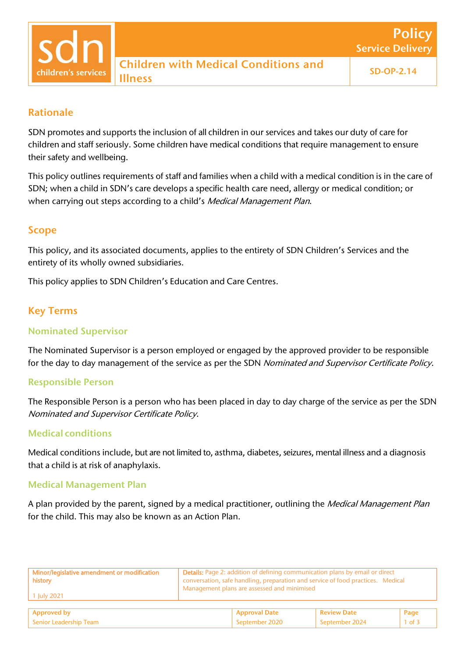# Rationale

children's service:

SDN promotes and supports the inclusion of all children in our services and takes our duty of care for children and staff seriously. Some children have medical conditions that require management to ensure their safety and wellbeing.

This policy outlines requirements of staff and families when a child with a medical condition is in the care of SDN; when a child in SDN's care develops a specific health care need, allergy or medical condition; or when carrying out steps according to a child's Medical Management Plan.

## Scope

This policy, and its associated documents, applies to the entirety of SDN Children's Services and the entirety of its wholly owned subsidiaries.

This policy applies to SDN Children's Education and Care Centres.

# Key Terms

### Nominated Supervisor

The Nominated Supervisor is a person employed or engaged by the approved provider to be responsible for the day to day management of the service as per the SDN Nominated and Supervisor Certificate Policy.

## Responsible Person

The Responsible Person is a person who has been placed in day to day charge of the service as per the SDN Nominated and Supervisor Certificate Policy.

## Medical conditions

Medical conditions include, but are not limited to, asthma, diabetes, seizures, mental illness and a diagnosis that a child is at risk of anaphylaxis.

#### Medical Management Plan

A plan provided by the parent, signed by a medical practitioner, outlining the *Medical Management Plan* for the child. This may also be known as an Action Plan.

| Minor/legislative amendment or modification<br>  history<br>$1$ July 2021 | <b>Details:</b> Page 2: addition of defining communication plans by email or direct<br>conversation, safe handling, preparation and service of food practices. Medical<br>Management plans are assessed and minimised |                    |        |
|---------------------------------------------------------------------------|-----------------------------------------------------------------------------------------------------------------------------------------------------------------------------------------------------------------------|--------------------|--------|
| Approved by                                                               | <b>Approval Date</b>                                                                                                                                                                                                  | <b>Review Date</b> | Page   |
| Senior Leadership Team                                                    | September 2020                                                                                                                                                                                                        | September 2024     | 1 of 3 |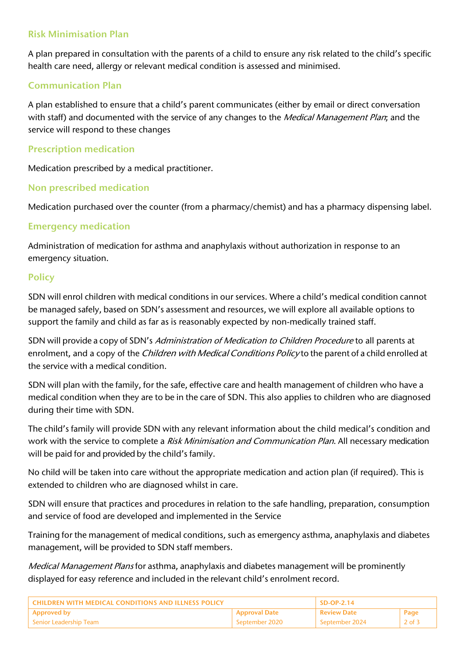# Risk Minimisation Plan

A plan prepared in consultation with the parents of a child to ensure any risk related to the child's specific health care need, allergy or relevant medical condition is assessed and minimised.

### Communication Plan

A plan established to ensure that a child's parent communicates (either by email or direct conversation with staff) and documented with the service of any changes to the *Medical Management Plan*; and the service will respond to these changes

### Prescription medication

Medication prescribed by a medical practitioner.

#### Non prescribed medication

Medication purchased over the counter (from a pharmacy/chemist) and has a pharmacy dispensing label.

#### Emergency medication

Administration of medication for asthma and anaphylaxis without authorization in response to an emergency situation.

#### **Policy**

SDN will enrol children with medical conditions in our services. Where a child's medical condition cannot be managed safely, based on SDN's assessment and resources, we will explore all available options to support the family and child as far as is reasonably expected by non-medically trained staff.

SDN will provide a copy of SDN's Administration of Medication to Children Procedure to all parents at enrolment, and a copy of the *Children with Medical Conditions Policy* to the parent of a child enrolled at the service with a medical condition.

SDN will plan with the family, for the safe, effective care and health management of children who have a medical condition when they are to be in the care of SDN. This also applies to children who are diagnosed during their time with SDN.

The child's family will provide SDN with any relevant information about the child medical's condition and work with the service to complete a Risk Minimisation and Communication Plan. All necessary medication will be paid for and provided by the child's family.

No child will be taken into care without the appropriate medication and action plan (if required). This is extended to children who are diagnosed whilst in care.

SDN will ensure that practices and procedures in relation to the safe handling, preparation, consumption and service of food are developed and implemented in the Service

Training for the management of medical conditions, such as emergency asthma, anaphylaxis and diabetes management, will be provided to SDN staff members.

Medical Management Plans for asthma, anaphylaxis and diabetes management will be prominently displayed for easy reference and included in the relevant child's enrolment record.

| LCHILDREN WITH MEDICAL CONDITIONS AND ILLNESS POLICY. |                      | $SD-OP-2.14$     |                |
|-------------------------------------------------------|----------------------|------------------|----------------|
| Approved by                                           | <b>Approval Date</b> | ' Review Date    | Page           |
| l Senior Leadership Team                              | September 2020       | l September 2024 | 2 of $\bar{3}$ |